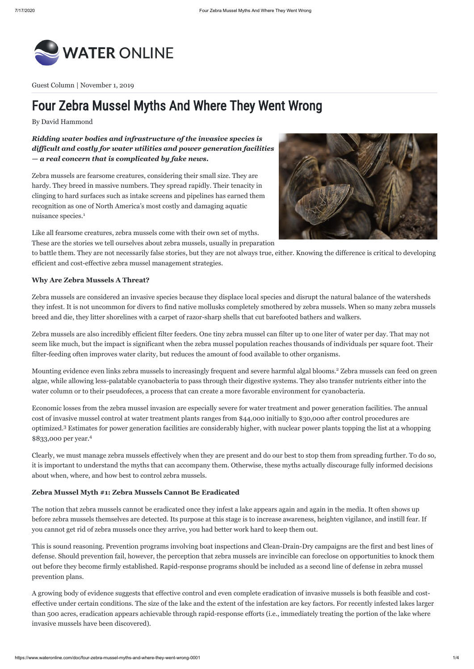

# Four Zebra Mussel Myths And Where They Went Wrong

Guest Column | November 1, 2019

By David Hammond

*Ridding water bodies and infrastructure of the invasive species is difficult and costly for water utilities and power generation facilities — a real concern that is complicated by fake news.*

Like all fearsome creatures, zebra mussels come with their own set of myths. These are the stories we tell ourselves about zebra mussels, usually in preparation

to battle them. They are not necessarily false stories, but they are not always true, either. Knowing the difference is critical to developing efficient and cost-effective zebra mussel management strategies.

## **Why Are Zebra Mussels A Threat?**

Mounting evidence even links zebra mussels to increasingly frequent and severe harmful algal blooms.<sup>2</sup> Zebra mussels can feed on green algae, while allowing less-palatable cyanobacteria to pass through their digestive systems. They also transfer nutrients either into the water column or to their pseudofeces, a process that can create a more favorable environment for cyanobacteria.

Zebra mussels are considered an invasive species because they displace local species and disrupt the natural balance of the watersheds they infest. It is not uncommon for divers to find native mollusks completely smothered by zebra mussels. When so many zebra mussels breed and die, they litter shorelines with a carpet of razor-sharp shells that cut barefooted bathers and walkers.

Zebra mussels are also incredibly efficient filter feeders. One tiny zebra mussel can filter up to one liter of water per day. That may not seem like much, but the impact is significant when the zebra mussel population reaches thousands of individuals per square foot. Their filter-feeding often improves water clarity, but reduces the amount of food available to other organisms.

Zebra mussels are fearsome creatures, considering their small size. They are hardy. They breed in massive numbers. They spread rapidly. Their tenacity in clinging to hard surfaces such as intake screens and pipelines has earned them recognition as one of North America's most costly and damaging aquatic nuisance species. 1



Clearly, we must manage zebra mussels effectively when they are present and do our best to stop them from spreading further. To do so, it is important to understand the myths that can accompany them. Otherwise, these myths actually discourage fully informed decisions about when, where, and how best to control zebra mussels.

# **Zebra Mussel Myth #1: Zebra Mussels Cannot Be Eradicated**

The notion that zebra mussels cannot be eradicated once they infest a lake appears again and again in the media. It often shows up before zebra mussels themselves are detected. Its purpose at this stage is to increase awareness, heighten vigilance, and instill fear. If you cannot get rid of zebra mussels once they arrive, you had better work hard to keep them out.

Economic losses from the zebra mussel invasion are especially severe for water treatment and power generation facilities. The annual cost of invasive mussel control at water treatment plants ranges from \$44,000 initially to \$30,000 after control procedures are optimized.<sup>3</sup> Estimates for power generation facilities are considerably higher, with nuclear power plants topping the list at a whopping \$833,000 per year. 4

This is sound reasoning. Prevention programs involving boat inspections and Clean-Drain-Dry campaigns are the first and best lines of defense. Should prevention fail, however, the perception that zebra mussels are invincible can foreclose on opportunities to knock them out before they become firmly established. Rapid-response programs should be included as a second line of defense in zebra mussel prevention plans.

A growing body of evidence suggests that effective control and even complete eradication of invasive mussels is both feasible and costeffective under certain conditions. The size of the lake and the extent of the infestation are key factors. For recently infested lakes larger than 500 acres, eradication appears achievable through rapid-response efforts (i.e., immediately treating the portion of the lake where invasive mussels have been discovered).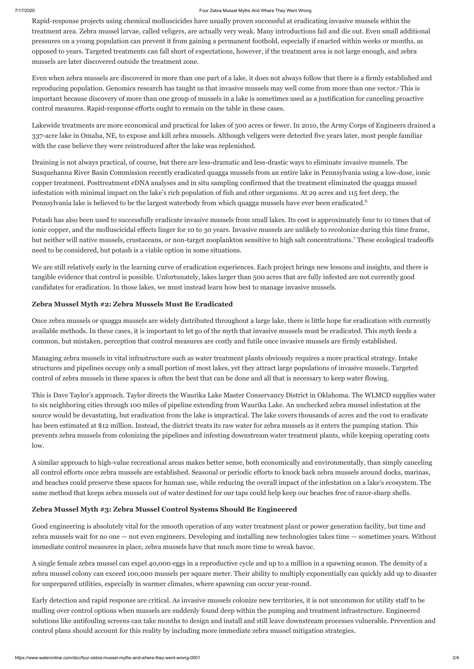#### 7/17/2020 Four Zebra Mussel Myths And Where They Went Wrong

Rapid-response projects using chemical molluscicides have usually proven successful at eradicating invasive mussels within the treatment area. Zebra mussel larvae, called veligers, are actually very weak. Many introductions fail and die out. Even small additional pressures on a young population can prevent it from gaining a permanent foothold, especially if enacted within weeks or months, as opposed to years. Targeted treatments can fall short of expectations, however, if the treatment area is not large enough, and zebra mussels are later discovered outside the treatment zone.

Even when zebra mussels are discovered in more than one part of a lake, it does not always follow that there is a firmly established and reproducing population. Genomics research has taught us that invasive mussels may well come from more than one vector. This is 5 important because discovery of more than one group of mussels in a lake is sometimes used as a justification for canceling proactive control measures. Rapid-response efforts ought to remain on the table in these cases.

Lakewide treatments are more economical and practical for lakes of 500 acres or fewer. In 2010, the Army Corps of Engineers drained a 337-acre lake in Omaha, NE, to expose and kill zebra mussels. Although veligers were detected five years later, most people familiar with the case believe they were reintroduced after the lake was replenished.

Potash has also been used to successfully eradicate invasive mussels from small lakes. Its cost is approximately four to 10 times that of ionic copper, and the molluscicidal effects linger for 10 to 30 years. Invasive mussels are unlikely to recolonize during this time frame, but neither will native mussels, crustaceans, or non-target zooplankton sensitive to high salt concentrations.<sup>7</sup> These ecological tradeoffs need to be considered, but potash is a viable option in some situations.

We are still relatively early in the learning curve of eradication experiences. Each project brings new lessons and insights, and there is tangible evidence that control is possible. Unfortunately, lakes larger than 500 acres that are fully infested are not currently good candidates for eradication. In those lakes, we must instead learn how best to manage invasive mussels.

# **Zebra Mussel Myth #2: Zebra Mussels Must Be Eradicated**

Once zebra mussels or quagga mussels are widely distributed throughout a large lake, there is little hope for eradication with currently available methods. In these cases, it is important to let go of the myth that invasive mussels must be eradicated. This myth feeds a common, but mistaken, perception that control measures are costly and futile once invasive mussels are firmly established.

Managing zebra mussels in vital infrastructure such as water treatment plants obviously requires a more practical strategy. Intake structures and pipelines occupy only a small portion of most lakes, yet they attract large populations of invasive mussels. Targeted control of zebra mussels in these spaces is often the best that can be done and all that is necessary to keep water flowing.

Draining is not always practical, of course, but there are less-dramatic and less-drastic ways to eliminate invasive mussels. The Susquehanna River Basin Commission recently eradicated quagga mussels from an entire lake in Pennsylvania using a low-dose, ionic copper treatment. Posttreatment eDNA analyses and in situ sampling confirmed that the treatment eliminated the quagga mussel infestation with minimal impact on the lake's rich population of fish and other organisms. At 29 acres and 115 feet deep, the Pennsylvania lake is believed to be the largest waterbody from which quagga mussels have ever been eradicated. 6

This is Dave Taylor's approach. Taylor directs the Waurika Lake Master Conservancy District in Oklahoma. The WLMCD supplies water to six neighboring cities through 100 miles of pipeline extending from Waurika Lake. An unchecked zebra mussel infestation at the source would be devastating, but eradication from the lake is impractical. The lake covers thousands of acres and the cost to eradicate has been estimated at \$12 million. Instead, the district treats its raw water for zebra mussels as it enters the pumping station. This prevents zebra mussels from colonizing the pipelines and infesting downstream water treatment plants, while keeping operating costs low.

A similar approach to high-value recreational areas makes better sense, both economically and environmentally, than simply canceling all control efforts once zebra mussels are established. Seasonal or periodic efforts to knock back zebra mussels around docks, marinas, and beaches could preserve these spaces for human use, while reducing the overall impact of the infestation on a lake's ecosystem. The same method that keeps zebra mussels out of water destined for our taps could help keep our beaches free of razor-sharp shells.

# **Zebra Mussel Myth #3: Zebra Mussel Control Systems Should Be Engineered**

Good engineering is absolutely vital for the smooth operation of any water treatment plant or power generation facility, but time and zebra mussels wait for no one — not even engineers. Developing and installing new technologies takes time — sometimes years. Without immediate control measures in place, zebra mussels have that much more time to wreak havoc.

A single female zebra mussel can expel 40,000 eggs in a reproductive cycle and up to a million in a spawning season. The density of a zebra mussel colony can exceed 100,000 mussels per square meter. Their ability to multiply exponentially can quickly add up to disaster for unprepared utilities, especially in warmer climates, where spawning can occur year-round.

Early detection and rapid response are critical. As invasive mussels colonize new territories, it is not uncommon for utility staff to be mulling over control options when mussels are suddenly found deep within the pumping and treatment infrastructure. Engineered solutions like antifouling screens can take months to design and install and still leave downstream processes vulnerable. Prevention and control plans should account for this reality by including more immediate zebra mussel mitigation strategies.